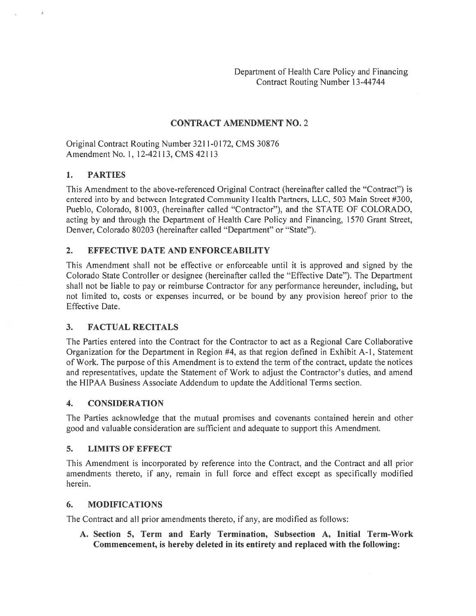Department of Health Care Policy and Financing Contract Routing Number 13-44744

#### CONTRACT AMENDMENT NO. 2

Original Contract Routing Number 321 1-0172, CMS 30876 Amendment No. 1, 12-42113, CMS 42113

#### 1. PARTIES

This Amendment to the above-referenced Original Contract (hereinafter called the "Contract") is entered into by and between Integrated Community Health Partners, LLC, 503 Main Street #300, Pueblo, Colorado, 81003, (hereinafter called "Contractor"), and the STATE OF COLORADO, acting by and through the Department of Health Care Policy and Financing, 1570 Grant Street, Denver, Colorado 80203 (hereinafter called "Department" or "State").

#### 2. EFFECTIVE DATE AND ENFORCEABILITY

This Amendment shall not be effective or enforceable until it is approved and signed by the Colorado State Controller or designee (hereinafter called the "Effective Date"). The Department shall not be liable to pay or reimburse Contractor for any performance hereunder, including, but not limited to, costs or expenses incurred, or be bound by any provision hereof prior to the Effective Date.

#### 3. FACTUAL RECITALS

The Parties entered into the Contract for the Contractor to act as <sup>a</sup> Regional Care Collaborative Organization for the Department in Region #4, as that region defined in Exhibit A-I, Statement of Work. The purpose of this Amendment is to extend the term of the contract, update the notices and representatives, update the Statement of Work to adjust the Contractor's duties, and amend the HIPAA Business Associate Addendum to update the Additional Terms section.

#### 4. CONSIDERATION

The Parties acknowledge that the mutual promises and covenants contained herein and other good and valuable consideration are sufficient and adequate to suppor<sup>t</sup> this Amendment.

#### 5. LIMITS OF EFFECT

This Amendment is incorporated by reference into the Contract, and the Contract and all prior amendments thereto, if any, remain in full force and effect excep<sup>t</sup> as specifically modified herein.

#### 6. MODIFICATIONS

The Contract and all prior amendments thereto, if any, are modified as follows:

A. Section 5, Term and Early Termination, Subsection A, Initial Term-Work Commencement, is hereby deleted in its entirety and replaced with the following: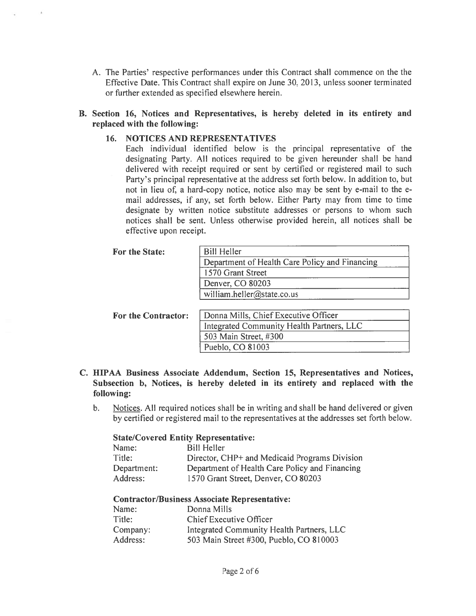A. The Parties' respective performances under this Contract shall commence on the the Effective Date. This Contract shall expire on June 30, 2013, unless sooner terminated or further extended as specified elsewhere herein.

## B. Section 16, Notices and Representatives, is hereby deleted in its entirety and replaced with the following:

## 16. NOTICES AND REPRESENTATIVES

Each individual identified below is the principal representative of the designating Party. All notices required to be given hereunder shall be hand delivered with receipt required or sent by certified or registered mail to such Party's principal representative at the address set forth below. In addition to, but not in lieu of, <sup>a</sup> hard-copy notice, notice also may be sent by e-mail to the <sup>e</sup> mail addresses, if any, set forth below. Either Party may from time to time designate by written notice substitute addresses or persons to whom such notices shall be sent. Unless otherwise provided herein, all notices shall be effective upon receipt.

| For the State:             | <b>Bill Heller</b>                             |
|----------------------------|------------------------------------------------|
|                            | Department of Health Care Policy and Financing |
|                            | 1570 Grant Street                              |
|                            | Denver, CO 80203                               |
|                            | william.heller@state.co.us                     |
|                            |                                                |
| <b>For the Contractor:</b> | Donna Mills, Chief Executive Officer           |
|                            | Integrated Community Health Partners, LLC      |
|                            | 503 Main Street, #300                          |

## C. HIPAA Business Associate Addendum, Section 15, Representatives and Notices, Subsection b, Notices, is hereby deleted in its entirety and replaced with the following:

Pueblo, CO 81003

b. Notices. All required notices shall be in writing and shall be hand delivered or given by certified or registered mail to the representatives at the addresses set forth below.

### State/Covered Entity Representative:

| Name:       | <b>Bill Heller</b>                             |
|-------------|------------------------------------------------|
| Title:      | Director, CHP+ and Medicaid Programs Division  |
| Department: | Department of Health Care Policy and Financing |
| Address:    | 1570 Grant Street, Denver, CO 80203            |

### Contractor/Business Associate Representative:

| Name:    | Donna Mills                               |
|----------|-------------------------------------------|
| Title:   | Chief Executive Officer                   |
| Company: | Integrated Community Health Partners, LLC |
| Address: | 503 Main Street #300, Pueblo, CO 810003   |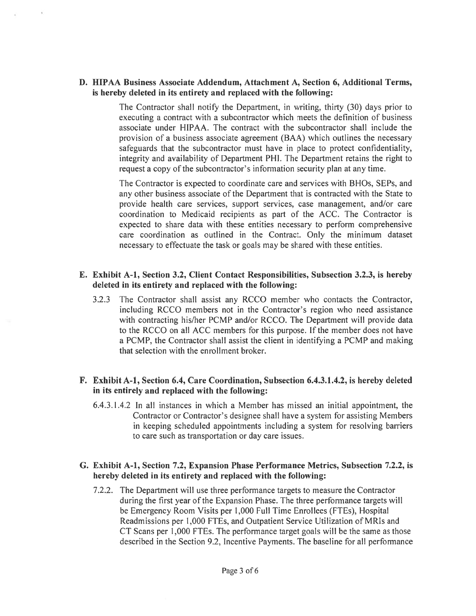## D. HIPAA Business Associate Addendum, Attachment A, Section 6, Additional Terms, is hereby deleted in its entirety and replaced with the following:

The Contractor shall notify the Department, in writing, thirty (30) days prior to executing <sup>a</sup> contract with <sup>a</sup> subcontractor which meets the definition of business associate under HIPAA. The contract with the subcontractor shall include the provision of <sup>a</sup> business associate agreemen<sup>t</sup> (BAA) which outlines the necessary safeguards that the subcontractor must have in place to protect confidentiality, integrity and availability of Department PHI. The Department retains the right to reques<sup>t</sup> <sup>a</sup> copy of the subcontractor's information security plan at any time.

The Contractor is expected to coordinate care and services with BHOs, SEPs, and any other business associate of the Department that is contracted with the State to provide health care services, suppor<sup>t</sup> services, case management, and/or care coordination to Medicaid recipients as par<sup>t</sup> of the ACC. The Contractor is expected to share data with these entities necessary to perform comprehensive care coordination as outlined in the Contract. Only the minimum dataset necessary to effectuate the task or goals may be shared with these entities.

## E. Exhibit A-i, Section 3.2, Client Contact Responsibilities, Subsection 3.2.3, is hereby deleted in its entirety and replaced with the following:

3.2.3 The Contractor shall assist any RCCO member who contacts the Contractor, including RCCO members not in the Contractor's region who need assistance with contracting his/her PCMP and/or RCCO. The Department will provide data to the RCCO on all ACC members for this purpose. If the member does not have <sup>a</sup> PCMP, the Contractor shall assist the client in identifying <sup>a</sup> PCMP and making that selection with the enrollment broker.

# F. Exhibit A-i, Section 6.4, Care Coordination, Subsection 6.4.3.1.4.2, is hereby deleted in its entirely and replaced with the following:

6.4.3.1.4.2 In all instances in which <sup>a</sup> Member has missed an initial appointment, the Contractor or Contractor's designee shall have <sup>a</sup> system for assisting Members in keeping scheduled appointments including <sup>a</sup> system for resolving barriers to care such as transportation or day care issues.

## G. Exhibit A-i, Section 7.2, Expansion Phase Performance Metrics, Subsection 7.2.2, is hereby deleted in its entirety and replaced with the following:

7.2.2. The Department will use three performance targets to measure the Contractor during the first year of the Expansion Phase. The three performance targets will be Emergency Room Visits per 1,000 Full Time Enrollees (FTEs), Hospital Readmissions per 1,000 FTEs, and Outpatient Service Utilization of MRIs and CT Scans per 1,000 FTEs. The performance target goals will be the same as those described in the Section 9.2, Incentive Payments. The baseline for all performance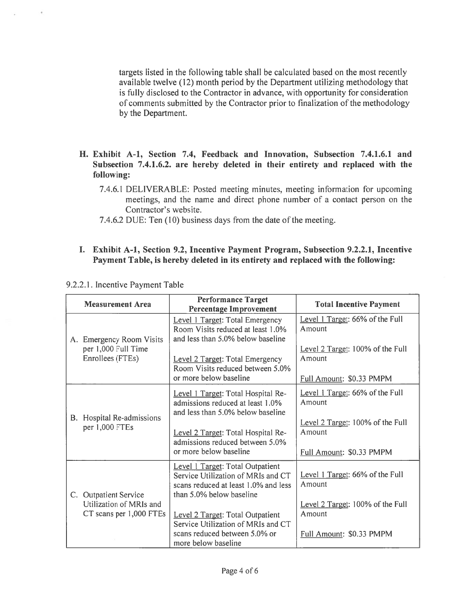targets listed in the following table shall be calculated based on the most recently available twelve (12) month period by the Department utilizing methodology that is fully disclosed to the Contractor in advance, with opportunity for consideration of comments submitted by the Contractor prior to finalization of the methodology by the Department.

- H. Exhibit A-1, Section 7.4, Feedback and Innovation, Subsection 7.4.1.6.1 and Subsection 7.4.1.6.2. are hereby deleted in their entirety and replaced with the following:
	- 7.4.6.1 DELIVERABLE: Posted meeting minutes, meeting information for upcoming meetings, and the name and direct phone number of <sup>a</sup> contact person on the Contractor's website.
	- 7.4.6.2 DUE: Ten (10) business days from the date of the meeting.

## I. Exhibit A-i, Section 9.2, Incentive Payment Program, Subsection 9.2.2.1, Incentive Payment Table, is hereby deleted in its entirety and replaced with the following:

| <b>Measurement Area</b>                     |                                                                                                             | <b>Performance Target</b><br><b>Percentage Improvement</b>                                                                                 | <b>Total Incentive Payment</b>                                         |  |
|---------------------------------------------|-------------------------------------------------------------------------------------------------------------|--------------------------------------------------------------------------------------------------------------------------------------------|------------------------------------------------------------------------|--|
|                                             | A. Emergency Room Visits                                                                                    | <b>Level 1 Target: Total Emergency</b><br>Room Visits reduced at least 1.0%<br>and less than 5.0% below baseline                           | Level 1 Target: 66% of the Full<br>Amount                              |  |
| per 1,000 Full Time<br>Enrollees (FTEs)     | Level 2 Target: Total Emergency<br>Room Visits reduced between 5.0%<br>or more below baseline               | Level 2 Target: 100% of the Full<br>Amount<br>Full Amount: \$0.33 PMPM                                                                     |                                                                        |  |
| B. Hospital Re-admissions<br>per 1,000 FTEs | Level 1 Target: Total Hospital Re-<br>admissions reduced at least 1.0%<br>and less than 5.0% below baseline | Level 1 Target: 66% of the Full<br>Amount<br>Level 2 Target: 100% of the Full                                                              |                                                                        |  |
|                                             |                                                                                                             | Level 2 Target: Total Hospital Re-<br>admissions reduced between 5.0%<br>or more below baseline                                            | Amount<br>Full Amount: \$0.33 PMPM                                     |  |
|                                             | C. Outpatient Service                                                                                       | Level 1 Target: Total Outpatient<br>Service Utilization of MRIs and CT<br>scans reduced at least 1.0% and less<br>than 5.0% below baseline | Level 1 Target: 66% of the Full<br>Amount                              |  |
|                                             | Utilization of MRIs and<br>CT scans per 1,000 FTEs                                                          | <b>Level 2 Target: Total Outpatient</b><br>Service Utilization of MRIs and CT<br>scans reduced between 5.0% or<br>more below baseline      | Level 2 Target: 100% of the Full<br>Amount<br>Full Amount: \$0.33 PMPM |  |

9.2.2.1. Incentive Payment Table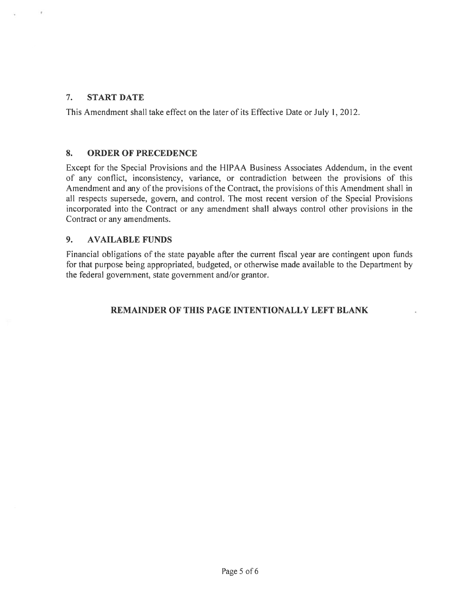# 7. START DATE

This Amendment shall take effect on the later of its Effective Date or July 1,2012.

# 8. ORDER OF PRECEDENCE

Except for the Special Provisions and the HIPAA Business Associates Addendum, in the event of any conflict, inconsistency, variance, or contradiction between the provisions of this Amendment and any of the provisions of the Contract, the provisions of this Amendment shall in all respects supersede, govern, and control. The most recent version of the Special Provisions incorporated into the Contract or any amendment shall always control other provisions in the Contract or any amendments.

# 9. AVAILABLE FUNDS

Financial obligations of the state payable after the current fiscal year are contingent upon funds for that purpose being appropriated, budgeted, or otherwise made available to the Department by the federal government, state governmen<sup>t</sup> and/or grantor.

# REMAINDER OF THIS PAGE INTENTIONALLY LEFT BLANK